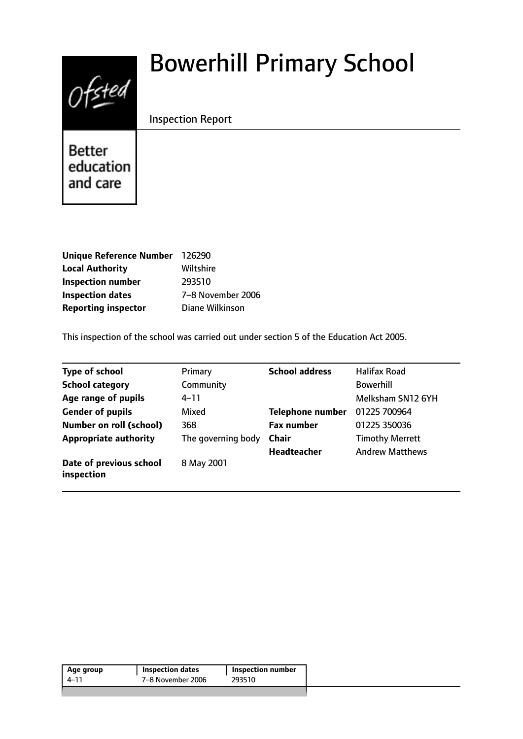# $0$ fsted

# Bowerhill Primary School

# Inspection Report

**Better** education and care

| Unique Reference Number 126290 |                   |
|--------------------------------|-------------------|
| <b>Local Authority</b>         | Wiltshire         |
| <b>Inspection number</b>       | 293510            |
| <b>Inspection dates</b>        | 7-8 November 2006 |
| <b>Reporting inspector</b>     | Diane Wilkinson   |

This inspection of the school was carried out under section 5 of the Education Act 2005.

| <b>Type of school</b>                 | Primary            | <b>School address</b>   | <b>Halifax Road</b>    |
|---------------------------------------|--------------------|-------------------------|------------------------|
| <b>School category</b>                | Community          |                         | <b>Bowerhill</b>       |
| Age range of pupils                   | $4 - 11$           |                         | Melksham SN12 6YH      |
| <b>Gender of pupils</b>               | Mixed              | <b>Telephone number</b> | 01225 700964           |
| <b>Number on roll (school)</b>        | 368                | <b>Fax number</b>       | 01225 350036           |
| <b>Appropriate authority</b>          | The governing body | <b>Chair</b>            | <b>Timothy Merrett</b> |
|                                       |                    | <b>Headteacher</b>      | <b>Andrew Matthews</b> |
| Date of previous school<br>inspection | 8 May 2001         |                         |                        |

| Age group | <b>Inspection dates</b> | <b>Inspection number</b> |
|-----------|-------------------------|--------------------------|
| 4–11      | 7-8 November 2006       | 293510                   |
|           |                         |                          |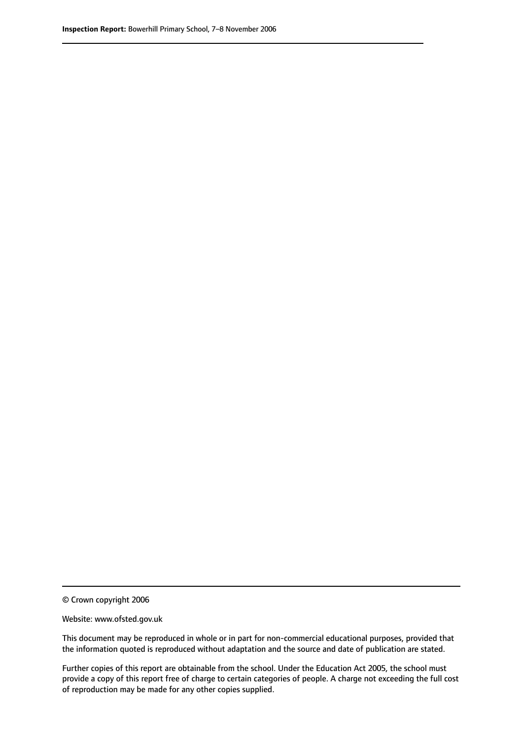© Crown copyright 2006

Website: www.ofsted.gov.uk

This document may be reproduced in whole or in part for non-commercial educational purposes, provided that the information quoted is reproduced without adaptation and the source and date of publication are stated.

Further copies of this report are obtainable from the school. Under the Education Act 2005, the school must provide a copy of this report free of charge to certain categories of people. A charge not exceeding the full cost of reproduction may be made for any other copies supplied.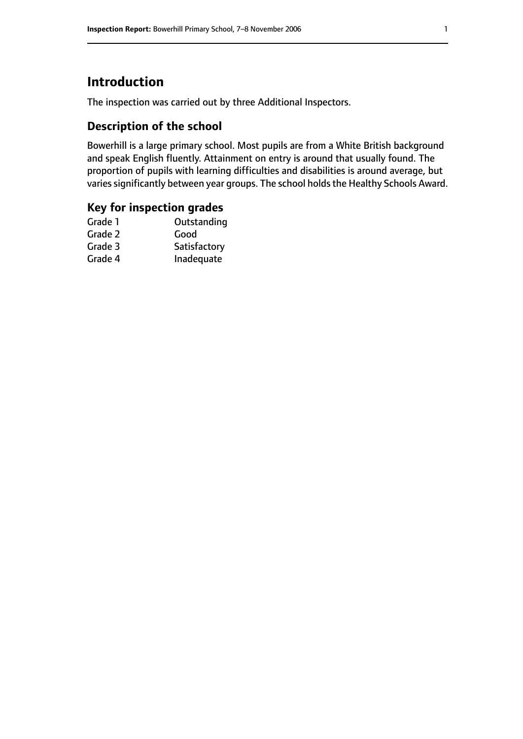# **Introduction**

The inspection was carried out by three Additional Inspectors.

# **Description of the school**

Bowerhill is a large primary school. Most pupils are from a White British background and speak English fluently. Attainment on entry is around that usually found. The proportion of pupils with learning difficulties and disabilities is around average, but varies significantly between year groups. The school holds the Healthy Schools Award.

# **Key for inspection grades**

| Grade 1 | Outstanding  |
|---------|--------------|
| Grade 2 | Good         |
| Grade 3 | Satisfactory |
| Grade 4 | Inadequate   |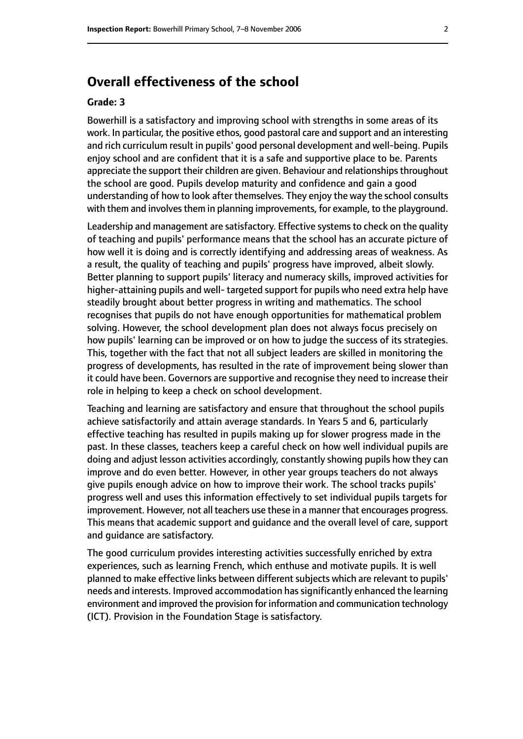# **Overall effectiveness of the school**

#### **Grade: 3**

Bowerhill is a satisfactory and improving school with strengths in some areas of its work. In particular, the positive ethos, good pastoral care and support and an interesting and rich curriculum result in pupils' good personal development and well-being. Pupils enjoy school and are confident that it is a safe and supportive place to be. Parents appreciate the support their children are given. Behaviour and relationships throughout the school are good. Pupils develop maturity and confidence and gain a good understanding of how to look after themselves. They enjoy the way the school consults with them and involves them in planning improvements, for example, to the playground.

Leadership and management are satisfactory. Effective systems to check on the quality of teaching and pupils' performance means that the school has an accurate picture of how well it is doing and is correctly identifying and addressing areas of weakness. As a result, the quality of teaching and pupils' progress have improved, albeit slowly. Better planning to support pupils' literacy and numeracy skills, improved activities for higher-attaining pupils and well-targeted support for pupils who need extra help have steadily brought about better progress in writing and mathematics. The school recognises that pupils do not have enough opportunities for mathematical problem solving. However, the school development plan does not always focus precisely on how pupils' learning can be improved or on how to judge the success of its strategies. This, together with the fact that not all subject leaders are skilled in monitoring the progress of developments, has resulted in the rate of improvement being slower than it could have been. Governors are supportive and recognise they need to increase their role in helping to keep a check on school development.

Teaching and learning are satisfactory and ensure that throughout the school pupils achieve satisfactorily and attain average standards. In Years 5 and 6, particularly effective teaching has resulted in pupils making up for slower progress made in the past. In these classes, teachers keep a careful check on how well individual pupils are doing and adjust lesson activities accordingly, constantly showing pupils how they can improve and do even better. However, in other year groups teachers do not always give pupils enough advice on how to improve their work. The school tracks pupils' progress well and uses this information effectively to set individual pupils targets for improvement. However, not all teachers use these in a manner that encourages progress. This means that academic support and guidance and the overall level of care, support and guidance are satisfactory.

The good curriculum provides interesting activities successfully enriched by extra experiences, such as learning French, which enthuse and motivate pupils. It is well planned to make effective links between different subjects which are relevant to pupils' needs and interests. Improved accommodation hassignificantly enhanced the learning environment and improved the provision for information and communication technology (ICT). Provision in the Foundation Stage is satisfactory.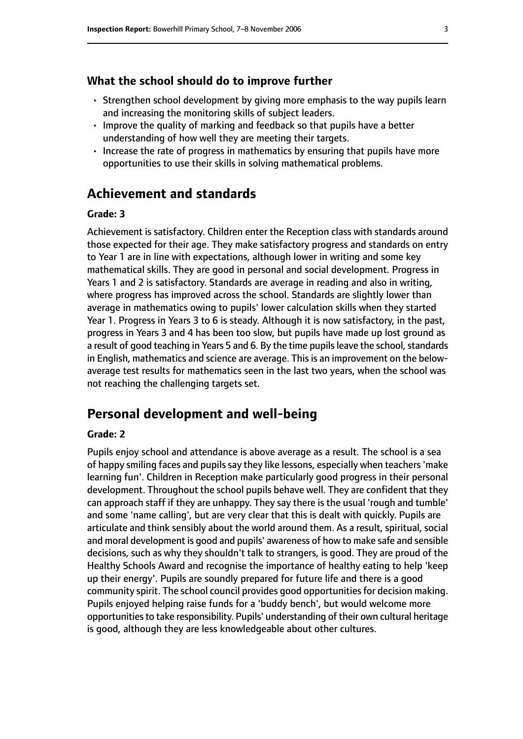#### **What the school should do to improve further**

- Strengthen school development by giving more emphasis to the way pupils learn and increasing the monitoring skills of subject leaders.
- Improve the quality of marking and feedback so that pupils have a better understanding of how well they are meeting their targets.
- Increase the rate of progress in mathematics by ensuring that pupils have more opportunities to use their skills in solving mathematical problems.

# **Achievement and standards**

#### **Grade: 3**

Achievement is satisfactory. Children enter the Reception class with standards around those expected for their age. They make satisfactory progress and standards on entry to Year 1 are in line with expectations, although lower in writing and some key mathematical skills. They are good in personal and social development. Progress in Years 1 and 2 is satisfactory. Standards are average in reading and also in writing, where progress has improved across the school. Standards are slightly lower than average in mathematics owing to pupils' lower calculation skills when they started Year 1. Progress in Years 3 to 6 is steady. Although it is now satisfactory, in the past, progress in Years 3 and 4 has been too slow, but pupils have made up lost ground as a result of good teaching in Years 5 and 6. By the time pupils leave the school, standards in English, mathematics and science are average. This is an improvement on the belowaverage test results for mathematics seen in the last two years, when the school was not reaching the challenging targets set.

### **Personal development and well-being**

#### **Grade: 2**

Pupils enjoy school and attendance is above average as a result. The school is a sea of happy smiling faces and pupils say they like lessons, especially when teachers 'make learning fun'. Children in Reception make particularly good progress in their personal development. Throughout the school pupils behave well. They are confident that they can approach staff if they are unhappy. They say there is the usual 'rough and tumble' and some 'name calling', but are very clear that this is dealt with quickly. Pupils are articulate and think sensibly about the world around them. As a result, spiritual, social and moral development is good and pupils' awareness of how to make safe and sensible decisions, such as why they shouldn't talk to strangers, is good. They are proud of the Healthy Schools Award and recognise the importance of healthy eating to help 'keep up their energy'. Pupils are soundly prepared for future life and there is a good community spirit. The school council provides good opportunities for decision making. Pupils enjoyed helping raise funds for a 'buddy bench', but would welcome more opportunities to take responsibility. Pupils' understanding of their own cultural heritage is good, although they are less knowledgeable about other cultures.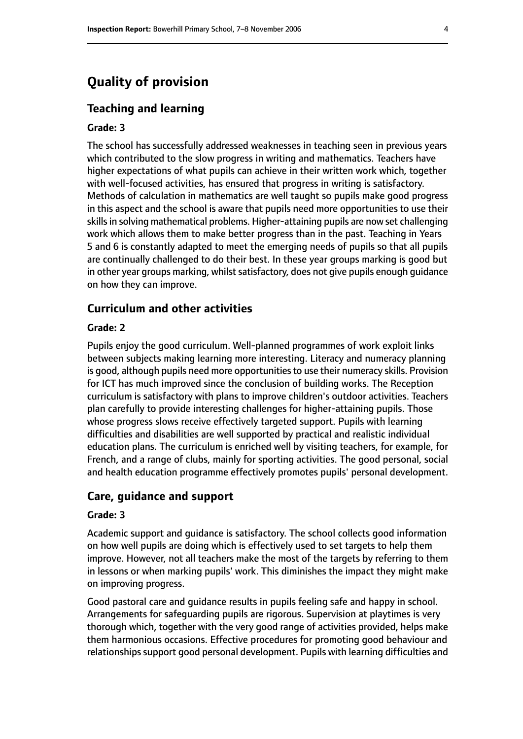# **Quality of provision**

#### **Teaching and learning**

#### **Grade: 3**

The school has successfully addressed weaknesses in teaching seen in previous years which contributed to the slow progress in writing and mathematics. Teachers have higher expectations of what pupils can achieve in their written work which, together with well-focused activities, has ensured that progress in writing is satisfactory. Methods of calculation in mathematics are well taught so pupils make good progress in this aspect and the school is aware that pupils need more opportunities to use their skills in solving mathematical problems. Higher-attaining pupils are now set challenging work which allows them to make better progress than in the past. Teaching in Years 5 and 6 is constantly adapted to meet the emerging needs of pupils so that all pupils are continually challenged to do their best. In these year groups marking is good but in other year groups marking, whilst satisfactory, does not give pupils enough guidance on how they can improve.

#### **Curriculum and other activities**

#### **Grade: 2**

Pupils enjoy the good curriculum. Well-planned programmes of work exploit links between subjects making learning more interesting. Literacy and numeracy planning is good, although pupils need more opportunities to use their numeracy skills. Provision for ICT has much improved since the conclusion of building works. The Reception curriculum is satisfactory with plans to improve children's outdoor activities. Teachers plan carefully to provide interesting challenges for higher-attaining pupils. Those whose progress slows receive effectively targeted support. Pupils with learning difficulties and disabilities are well supported by practical and realistic individual education plans. The curriculum is enriched well by visiting teachers, for example, for French, and a range of clubs, mainly for sporting activities. The good personal, social and health education programme effectively promotes pupils' personal development.

#### **Care, guidance and support**

#### **Grade: 3**

Academic support and guidance is satisfactory. The school collects good information on how well pupils are doing which is effectively used to set targets to help them improve. However, not all teachers make the most of the targets by referring to them in lessons or when marking pupils' work. This diminishes the impact they might make on improving progress.

Good pastoral care and guidance results in pupils feeling safe and happy in school. Arrangements for safeguarding pupils are rigorous. Supervision at playtimes is very thorough which, together with the very good range of activities provided, helps make them harmonious occasions. Effective procedures for promoting good behaviour and relationships support good personal development. Pupils with learning difficulties and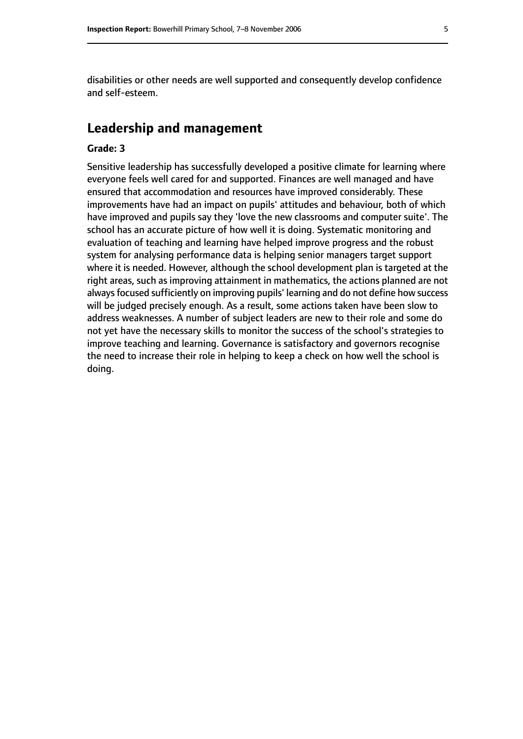disabilities or other needs are well supported and consequently develop confidence and self-esteem.

# **Leadership and management**

#### **Grade: 3**

Sensitive leadership has successfully developed a positive climate for learning where everyone feels well cared for and supported. Finances are well managed and have ensured that accommodation and resources have improved considerably. These improvements have had an impact on pupils' attitudes and behaviour, both of which have improved and pupils say they 'love the new classrooms and computer suite'. The school has an accurate picture of how well it is doing. Systematic monitoring and evaluation of teaching and learning have helped improve progress and the robust system for analysing performance data is helping senior managers target support where it is needed. However, although the school development plan is targeted at the right areas, such as improving attainment in mathematics, the actions planned are not always focused sufficiently on improving pupils' learning and do not define how success will be judged precisely enough. As a result, some actions taken have been slow to address weaknesses. A number of subject leaders are new to their role and some do not yet have the necessary skills to monitor the success of the school's strategies to improve teaching and learning. Governance is satisfactory and governors recognise the need to increase their role in helping to keep a check on how well the school is doing.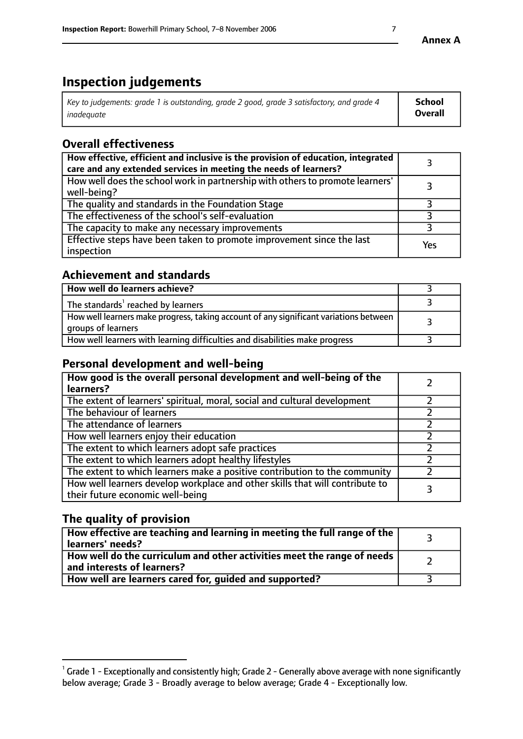# **Inspection judgements**

| Key to judgements: grade 1 is outstanding, grade 2 good, grade 3 satisfactory, and grade 4 | School         |
|--------------------------------------------------------------------------------------------|----------------|
| inadeauate                                                                                 | <b>Overall</b> |

# **Overall effectiveness**

| How effective, efficient and inclusive is the provision of education, integrated<br>care and any extended services in meeting the needs of learners? |     |
|------------------------------------------------------------------------------------------------------------------------------------------------------|-----|
| How well does the school work in partnership with others to promote learners'<br>well-being?                                                         |     |
| The quality and standards in the Foundation Stage                                                                                                    |     |
| The effectiveness of the school's self-evaluation                                                                                                    |     |
| The capacity to make any necessary improvements                                                                                                      |     |
| Effective steps have been taken to promote improvement since the last<br>inspection                                                                  | Yes |

# **Achievement and standards**

| How well do learners achieve?                                                                               |  |
|-------------------------------------------------------------------------------------------------------------|--|
| The standards <sup>1</sup> reached by learners                                                              |  |
| How well learners make progress, taking account of any significant variations between<br>groups of learners |  |
| How well learners with learning difficulties and disabilities make progress                                 |  |

# **Personal development and well-being**

| How good is the overall personal development and well-being of the<br>learners?                                  |  |
|------------------------------------------------------------------------------------------------------------------|--|
| The extent of learners' spiritual, moral, social and cultural development                                        |  |
| The behaviour of learners                                                                                        |  |
| The attendance of learners                                                                                       |  |
| How well learners enjoy their education                                                                          |  |
| The extent to which learners adopt safe practices                                                                |  |
| The extent to which learners adopt healthy lifestyles                                                            |  |
| The extent to which learners make a positive contribution to the community                                       |  |
| How well learners develop workplace and other skills that will contribute to<br>their future economic well-being |  |

# **The quality of provision**

| $\Box$ How effective are teaching and learning in meeting the full range of the $\Box$<br>  learners' needs?        |  |
|---------------------------------------------------------------------------------------------------------------------|--|
| $\mid$ How well do the curriculum and other activities meet the range of needs<br>$\mid$ and interests of learners? |  |
| How well are learners cared for, guided and supported?                                                              |  |

 $^1$  Grade 1 - Exceptionally and consistently high; Grade 2 - Generally above average with none significantly below average; Grade 3 - Broadly average to below average; Grade 4 - Exceptionally low.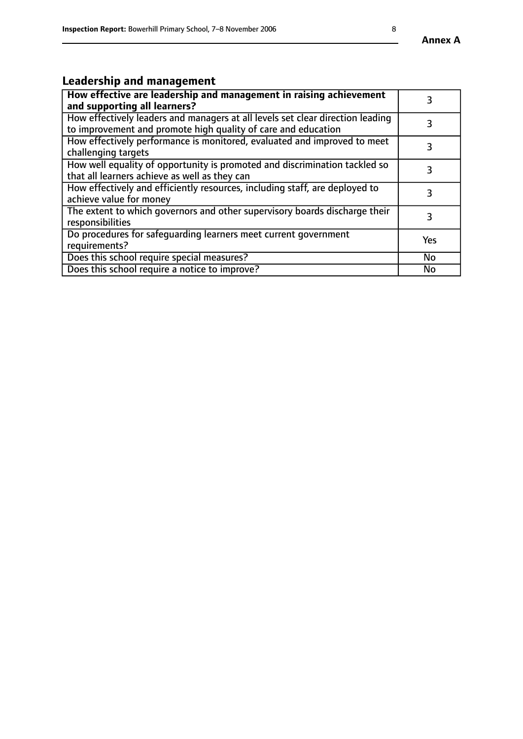# **Leadership and management**

| How effective are leadership and management in raising achievement<br>and supporting all learners?                                              |     |
|-------------------------------------------------------------------------------------------------------------------------------------------------|-----|
| How effectively leaders and managers at all levels set clear direction leading<br>to improvement and promote high quality of care and education |     |
| How effectively performance is monitored, evaluated and improved to meet<br>challenging targets                                                 | 3   |
| How well equality of opportunity is promoted and discrimination tackled so<br>that all learners achieve as well as they can                     |     |
| How effectively and efficiently resources, including staff, are deployed to<br>achieve value for money                                          | З   |
| The extent to which governors and other supervisory boards discharge their<br>responsibilities                                                  | 3   |
| Do procedures for safequarding learners meet current government<br>requirements?                                                                | Yes |
| Does this school require special measures?                                                                                                      | No  |
| Does this school require a notice to improve?                                                                                                   | No  |